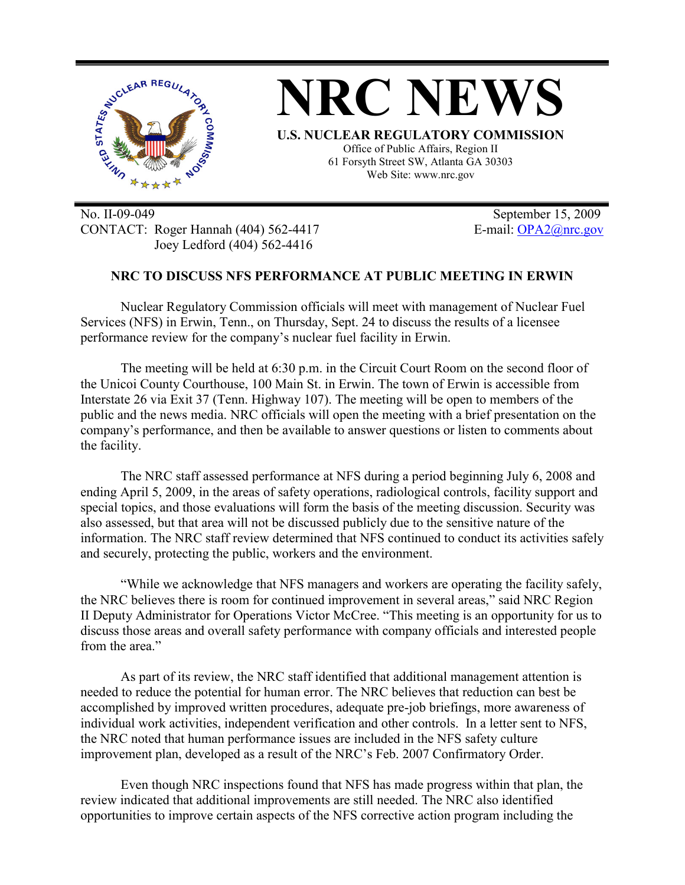

No. II-09-049 September 15, 2009 CONTACT: Roger Hannah (404) 562-4417 E-mail: OPA2@nrc.gov Joey Ledford (404) 562-4416

## **NRC TO DISCUSS NFS PERFORMANCE AT PUBLIC MEETING IN ERWIN**

Nuclear Regulatory Commission officials will meet with management of Nuclear Fuel Services (NFS) in Erwin, Tenn., on Thursday, Sept. 24 to discuss the results of a licensee performance review for the company's nuclear fuel facility in Erwin.

The meeting will be held at 6:30 p.m. in the Circuit Court Room on the second floor of the Unicoi County Courthouse, 100 Main St. in Erwin. The town of Erwin is accessible from Interstate 26 via Exit 37 (Tenn. Highway 107). The meeting will be open to members of the public and the news media. NRC officials will open the meeting with a brief presentation on the company's performance, and then be available to answer questions or listen to comments about the facility.

The NRC staff assessed performance at NFS during a period beginning July 6, 2008 and ending April 5, 2009, in the areas of safety operations, radiological controls, facility support and special topics, and those evaluations will form the basis of the meeting discussion. Security was also assessed, but that area will not be discussed publicly due to the sensitive nature of the information. The NRC staff review determined that NFS continued to conduct its activities safely and securely, protecting the public, workers and the environment.

"While we acknowledge that NFS managers and workers are operating the facility safely, the NRC believes there is room for continued improvement in several areas," said NRC Region II Deputy Administrator for Operations Victor McCree. "This meeting is an opportunity for us to discuss those areas and overall safety performance with company officials and interested people from the area."

 As part of its review, the NRC staff identified that additional management attention is needed to reduce the potential for human error. The NRC believes that reduction can best be accomplished by improved written procedures, adequate pre-job briefings, more awareness of individual work activities, independent verification and other controls. In a letter sent to NFS, the NRC noted that human performance issues are included in the NFS safety culture improvement plan, developed as a result of the NRC's Feb. 2007 Confirmatory Order.

Even though NRC inspections found that NFS has made progress within that plan, the review indicated that additional improvements are still needed. The NRC also identified opportunities to improve certain aspects of the NFS corrective action program including the